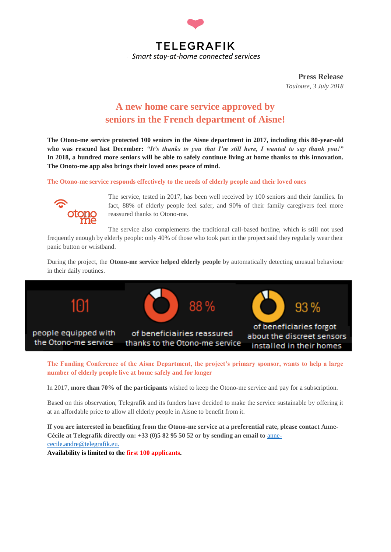

**Press Release** *Toulouse, 3 July 2018*

## **A new home care service approved by seniors in the French department of Aisne!**

**The Otono-me service protected 100 seniors in the Aisne department in 2017, including this 80-year-old who was rescued last December:** *"It's thanks to you that I'm still here, I wanted to say thank you!"* **In 2018, a hundred more seniors will be able to safely continue living at home thanks to this innovation. The Onoto-me app also brings their loved ones peace of mind.**

**The Otono-me service responds effectively to the needs of elderly people and their loved ones** 



The service, tested in 2017, has been well received by 100 seniors and their families. In fact, 88% of elderly people feel safer, and 90% of their family caregivers feel more reassured thanks to Otono-me.

The service also complements the traditional call-based hotline, which is still not used frequently enough by elderly people: only 40% of those who took part in the project said they regularly wear their panic button or wristband.

During the project, the **Otono-me service helped elderly people** by automatically detecting unusual behaviour in their daily routines.



**The Funding Conference of the Aisne Department, the project's primary sponsor, wants to help a large number of elderly people live at home safely and for longer** 

In 2017, **more than 70% of the participants** wished to keep the Otono-me service and pay for a subscription.

Based on this observation, Telegrafik and its funders have decided to make the service sustainable by offering it at an affordable price to allow all elderly people in Aisne to benefit from it.

**If you are interested in benefiting from the Otono-me service at a preferential rate, please contact Anne-Cécile at Telegrafik directly on: +33 (0)5 82 95 50 52 or by sending an email to** [anne](mailto:anne-cecile.andre@telegrafik.eu)[cecile.andre@telegrafik.eu.](mailto:anne-cecile.andre@telegrafik.eu)

**Availability is limited to the first 100 applicants.**